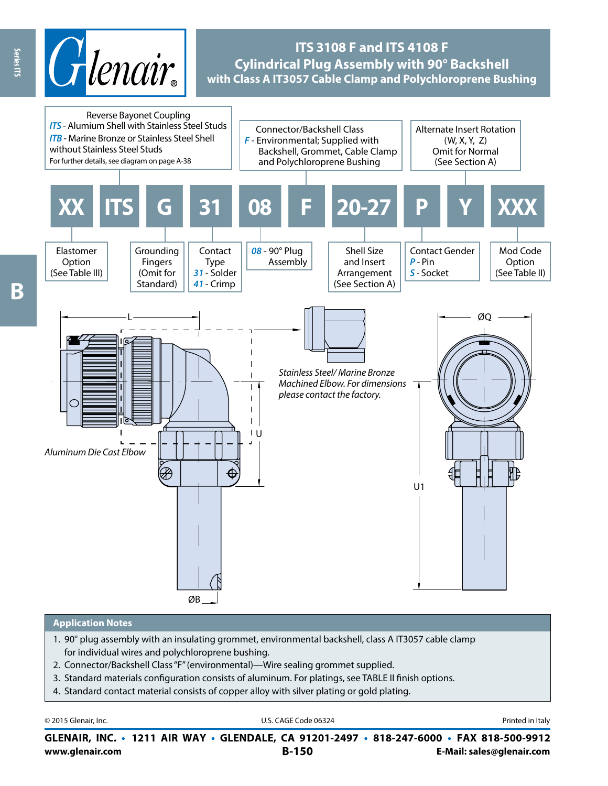

# **ITS 3108 F and ITS 4108 F Cylindrical Plug Assembly with 90° Backshell with Class A IT3057 Cable Clamp and Polychloroprene Bushing**



#### **Application Notes**

- 1. 90° plug assembly with an insulating grommet, environmental backshell, class A IT3057 cable clamp for individual wires and polychloroprene bushing.
- 2. Connector/Backshell Class "F" (environmental)—Wire sealing grommet supplied.
- 3. Standard materials configuration consists of aluminum. For platings, see TABLE II finish options.
- 4. Standard contact material consists of copper alloy with silver plating or gold plating.

| © 2015 Glenair, Inc. | U.S. CAGE Code 06324                                                                     | Printed in Italy |
|----------------------|------------------------------------------------------------------------------------------|------------------|
|                      | GLENAIR, INC. • 1211 AIR WAY • GLENDALE, CA 91201-2497 • 818-247-6000 • FAX 818-500-9912 |                  |

Series ITS

**www.glenair.com B-150 E-Mail: sales@glenair.com**